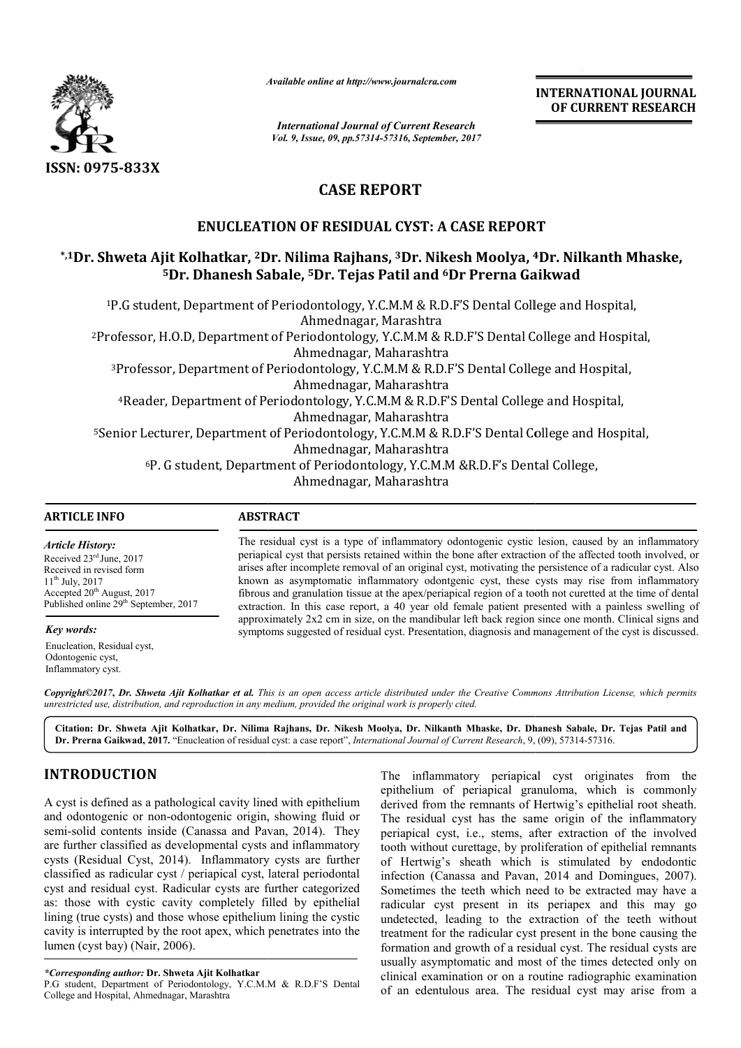

*Available online at http://www.journal http://www.journalcra.com*

*International Journal of Current Research Vol. 9, Issue, 09, pp.57314-57316, September, 2017* **INTERNATIONAL JOURNAL OF CURRENT RESEARCH** 

# **CASE REPORT**

## **ENUCLEATION OF RESIDUAL CYST: A CASE REPORT RESIDUAL CYST: REPORT**

## **\*,1Dr. Shweta Ajit Kolhatkar, 2Dr. Nilima Rajhans, Dr. 3Dr. Nikesh Moolya, 4 4Dr. Nilkanth Mhaske, 5Dr. Dhanesh Sabale, Dr. 5Dr. Tejas Patil and 6Dr Prerna Gaikwad Dr**

1P.G student, Department of Periodontology, Y.C.M.M & R.D.F'S Dental College and Hospital, P.G Ahmednagar, Marashtra 2Professor, H.O.D, Department of Periodontology, Y.C.M.M & R.D.F'S Dental College and Ho Professor, Ahmednagar, Maharashtra <sup>3</sup>Professor, Department of Periodontology, Y.C.M.M & R.D.F'S Dental College and Hospital,<br>Ahmednagar, Maharashtra 4Reader, Department of Periodontology, Y.C.M.M & R.D.F'S Dental College and Hos Reader, Ahmednagar, Maharashtra <sup>5</sup>Senior Lecturer, Department of Periodontology, Y.C.M.M & R.D.F'S Dental College and Hospital, 6P. G student, Department of Periodontology, Y.C.M.M &R.D.F's Dental Co P. Ahmednagar, Maharashtra of College, Ahmednagar, Maharashtra Periodontology, Y.C.M.M & R.D.F'S Dental College and Hospital,<br>Ahmednagar, Marashtra<br>of Periodontology, Y.C.M.M & R.D.F'S Dental College and Hospital, rofessor, Department of Periodontology, Y.C.M.M & R.D.F'S Dental College and Hospita<br>Ahmednagar, Maharashtra<br>Reader, Department of Periodontology, Y.C.M.M & R.D.F'S Dental College and Hospital,

#### **ARTICLE INFO ABSTRACT**

*Article History:* Received  $23<sup>rd</sup>$  June, 2017 Received in revised form 11th July, 2017 Accepted 20<sup>th</sup> August, 2017 Published online 29<sup>th</sup> September, 2017

*Key words:*

Enucleation, Residual cyst, Odontogenic cyst, Inflammatory cyst.

The residual cyst is a type of inflammatory odontogenic cystic lesion, caused by an inflammatory periapical cyst that persists retained within the bone after extraction of the affected tooth involved, or The residual cyst is a type of inflammatory odontogenic cystic lesion, caused by an inflammatory periapical cyst that persists retained within the bone after extraction of the affected tooth involved, or arises after incom known as asymptomatic inflammatory odontgenic cyst, these cysts may rise from inflammatory fibrous and granulation tissue at the apex/periapical region of a tooth not curetted at the time of dental extraction. In this case report, a 40 year old f female patient presented with a painless swelling of approximately 2x2 cm in size, on the mandibular left back region since one month. Clinical signs and symptoms suggested of residual cyst. Presentation, diagnosis and management of the cyst is discussed. known as asymptomatic inflammatory odontgenic cyst, these cysts may rise from inflammatory fibrous and granulation tissue at the apex/periapical region of a tooth not curetted at the time of dental extraction. In this case

Copyright©2017, Dr. Shweta Ajit Kolhatkar et al. This is an open access article distributed under the Creative Commons Attribution License, which permits *unrestricted use, distribution, and reproduction in any medium, provided the original work is properly cited.*

Citation: Dr. Shweta Ajit Kolhatkar, Dr. Nilima Rajhans, Dr. Nikesh Moolya, Dr. Nilkanth Mhaske, Dr. Dhanesh Sabale, Dr. Tejas Patil and Dr. Prerna Gaikwad, 2017. "Enucleation of residual cyst: a case report", *International Journal of Current Research*, 9, (09), 57314-57316.

## **INTRODUCTION**

A cyst is defined as a pathological cavity lined with epithelium and odontogenic or non-odontogenic origin, showing fluid or and odontogenic or non-odontogenic origin, showing fluid or semi-solid contents inside (Canassa and Pavan, 2014). They are further classified as developmental cysts and inflammatory cysts (Residual Cyst, 2014). Inflammatory cysts are further classified as radicular cyst / periapical cyst, lateral periodontal cyst and residual cyst. Radicular cysts are further categorized as: those with cystic cavity completely filled by epithelial lining (true cysts) and those whose epithelium lining the cystic cavity is interrupted by the root apex, which penetrates into the lumen (cyst bay) (Nair, 2006).

*\*Corresponding author:* **Dr. Shweta Ajit Kolhatkar**

P.G student, Department of Periodontology, Y.C.M.M & R.D.F'S Dental College and Hospital, Ahmednagar, Marashtra

The inflammatory periapical cyst originates from the epithelium of periapical granuloma, which is commonly derived from the remnants of Hertwig's epithelial root sheath. The residual cyst has the same origin of the inflammatory periapical cyst, i.e., stems, after extraction of the involved tooth without curettage, by proliferation of epithelial remnants of Hertwig's sheath which is stimulated by endodontic infection (Canassa and Pavan, 2014 and Domingues, 2007). Sometimes the teeth which need to be extracted may have a radicular cyst present in its periapex and this may go undetected, leading to the extraction of the teeth without treatment for the radicular cyst present in the bone causing the formation and growth of a residual cyst. The residua usually asymptomatic and most of the times detected only on clinical examination or on a routine radiographic examination of an edentulous area. The residual cyst may arise from a ry periapical cyst originates from the<br>eriapical granuloma, which is commonly<br>remnants of Hertwig's epithelial root sheath.<br>t has the same origin of the inflammatory<br>.e., stems, after extraction of the involved<br>ettage, by present in its periapex and this may go<br>ling to the extraction of the teeth without<br>radicular cyst present in the bone causing the<br>rowth of a residual cyst. The residual cysts are INTERNATIONAL JOURNAL<br>
OF CURRENT RESEARCH<br>
OF CURRENT RESEARCH<br>
COLOGY TEST (COLOGY TRESEARCH<br>
TOOLOGY 11. Nilkanth Mhaske,<br>
perna Gaikwad<br>
that College and Hospital,<br>
Dental College and Hospital,<br>
Lal College and Hospita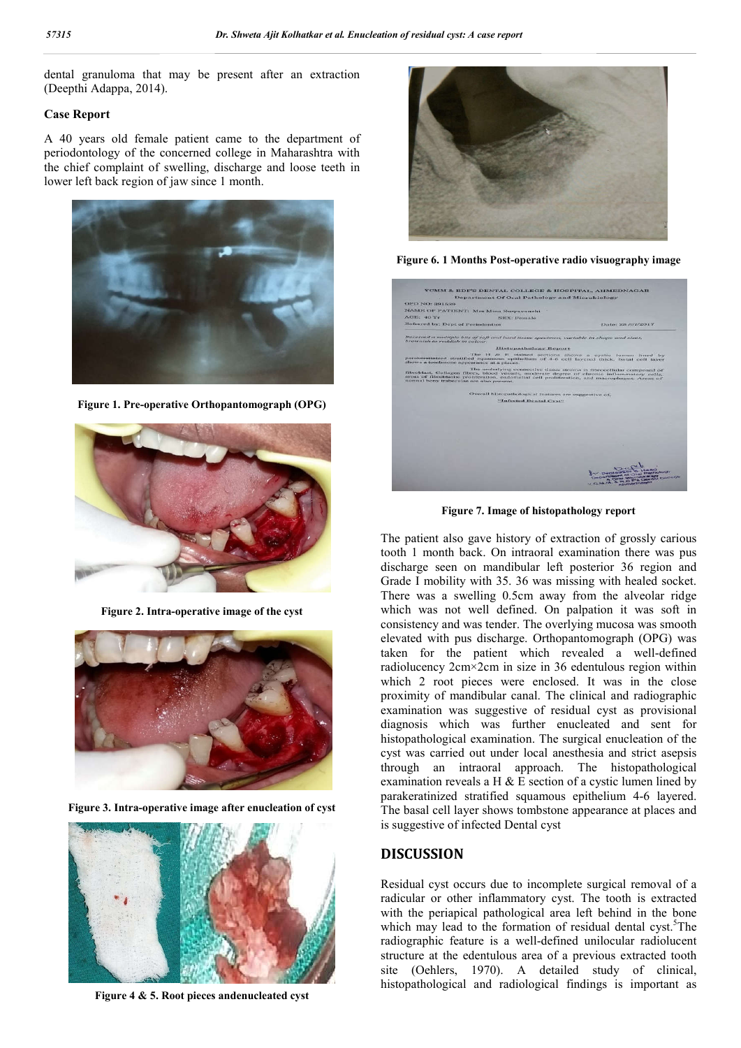dental granuloma that may be present after an extraction (Deepthi Adappa, 2014).

### **Case Report**

A 40 years old female patient came to the department of periodontology of the concerned college in Maharashtra with the chief complaint of swelling, discharge and loose teeth in lower left back region of jaw since 1 month.



**Figure 1. Pre-operative Orthopantomograph (OPG)**



**Figure 2. Intra-operative image of the cyst**



**Figure 3. Intra-operative image after enucleation of cyst**



**Figure 4 & 5. Root pieces andenucleated cyst**



**Figure 6. 1 Months Post-operative radio visuography image**



**Figure 7. Image of histopathology report**

The patient also gave history of extraction of grossly carious tooth 1 month back. On intraoral examination there was pus discharge seen on mandibular left posterior 36 region and Grade I mobility with 35. 36 was missing with healed socket. There was a swelling 0.5cm away from the alveolar ridge which was not well defined. On palpation it was soft in consistency and was tender. The overlying mucosa was smooth elevated with pus discharge. Orthopantomograph (OPG) was taken for the patient which revealed a well-defined radiolucency 2cm×2cm in size in 36 edentulous region within which 2 root pieces were enclosed. It was in the close proximity of mandibular canal. The clinical and radiographic examination was suggestive of residual cyst as provisional diagnosis which was further enucleated and sent for histopathological examination. The surgical enucleation of the cyst was carried out under local anesthesia and strict asepsis through an intraoral approach. The histopathological examination reveals a H  $&$  E section of a cystic lumen lined by parakeratinized stratified squamous epithelium 4-6 layered. The basal cell layer shows tombstone appearance at places and is suggestive of infected Dental cyst

## **DISCUSSION**

Residual cyst occurs due to incomplete surgical removal of a radicular or other inflammatory cyst. The tooth is extracted with the periapical pathological area left behind in the bone which may lead to the formation of residual dental cyst.<sup>5</sup>The radiographic feature is a well-defined unilocular radiolucent structure at the edentulous area of a previous extracted tooth site (Oehlers, 1970). A detailed study of clinical, histopathological and radiological findings is important as